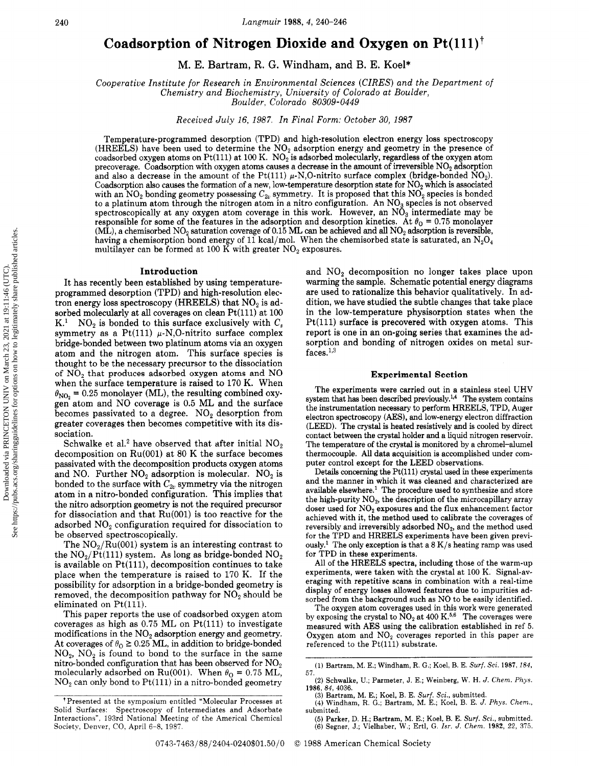# Coadsorption of Nitrogen Dioxide and Oxygen on  $Pt(111)^{\dagger}$

. E. Bartram, R. G. Windham, and B. E. Koel\*

Cooperative Institute for Research in Environmental Sciences (CIRES) and the Department of Chemistry and Biochemistry, University of Colorado at Boulder,

Boulder, Colorado 80309-0449

Received July 16, 1987. In Final Form: October 30, 1987

Temperature-programmed desorption (TPD) and high-resolution electron energy loss spectroscopy (HREELS) have been used to determine the  $NO<sub>2</sub>$  adsorption energy and geometry in the presence of coadsorbed oxygen atoms on Pt(111) at 100 K.  $NO<sub>2</sub>$  is adsorbed molecularly, regardless of the oxygen atom precoverage. Coadsorption with oxygen atoms causes a decrease in the amount of irreversible NO<sub>2</sub> adsorption and also a decrease in the amount of the Pt(111)  $\mu$ -N,O-nitrito surface complex (bridge-bonded NO<sub>2</sub>). Coadsorption also causes the formation of a new, low-temperature desorption state for  $NO<sub>2</sub>$  which is associated with an NO<sub>2</sub> bonding geometry possessing  $C_{2v}$  symmetry. It is proposed that this NO<sub>2</sub> species is bonded to a platinum atom through the nitrogen atom in a nitro configuration. An  $NO_3$  species is not observed spectroscopically at any oxygen atom coverage in this work. However, an  $N\ddot{O}_3$  intermediate may be responsible for some of the features in the adsorption and desorption kinetics. At  $\theta_0 = 0.75$  monolayer (ML), a chemisorbed  $NO_2$  saturation coverage of 0.15 ML can be achieved and all  $NO_2$  adsorption is reversible, having a chemisorption bond energy of 11 kcal/mol. When the chemisorbed state is saturated, an  $N_2O_4$ multilayer can be formed at 100 K with greater  $NO<sub>2</sub>$  exposures.

## Introduction

It has recently been established by using temperatureprogrammed desorption (TPD) and high-resolution electron energy loss spectroscopy (HREELS) that  $NO<sub>2</sub>$  is adsorbed molecularly at all coverages on clean Pt(111) at 100 K.<sup>1</sup> NO<sub>2</sub> is bonded to this surface exclusively with  $C_s$  $NO<sub>2</sub>$  is bonded to this surface exclusively with  $C<sub>s</sub>$ symmetry as a  $Pt(111) \mu\text{-N},$ O-nitrito surface complex bridge-bonded between two platinum atoms via an oxygen atom and the nitrogen atom. This surface species is thought to be the necessary precursor to the dissociation of  $NO<sub>2</sub>$  that produces adsorbed oxygen atoms and  $NO<sub>2</sub>$ when the surface temperature is raised to <sup>170</sup> K. When gen atom and  $NO$  coverage is  $0.5$  ML and the surface = 0.25 monolayer (ML), the resulting combined oxybecomes passivated to a degree.  $NO<sub>2</sub>$  desorption from greater coverages then becomes competitive with its dissociation.

Schwalke et al.<sup>2</sup> have observed that after initial  $NO<sub>2</sub>$ decomposition on Ru(001) at <sup>80</sup> K the surface becomes passivated with the decomposition products oxygen atoms and NO. Further  $NO<sub>2</sub>$  adsorption is molecular.  $NO<sub>2</sub>$  is bonded to the surface with  $C_{2v}$  symmetry via the nitrogen atom in <sup>a</sup> nitro-bonded configuration. This implies that the nitro adsorption geometry is not the required precursor for dissociation and that Ru(001) is too reactive for the adsorbed  $NO<sub>2</sub>$  configuration required for dissociation to be observed spectroscopically.

The  $NO<sub>2</sub>/Ru(001)$  system is an interesting contrast to the  $NO_2/Pt(111)$  system. As long as bridge-bonded  $NO_2$ is available on  $Pt(111)$ , decomposition continues to take place when the temperature is raised to <sup>170</sup> K. If the possibility for adsorption in <sup>a</sup> bridge-bonded geometry is removed, the decomposition pathway for  $NO<sub>2</sub>$  should be eliminated on  $Pt(111)$ .

This paper reports the use of coadsorbed oxygen atom coverages as high as  $0.75$  ML on Pt(111) to investigate modifications in the  $NO<sub>2</sub>$  adsorption energy and geometry. At coverages of  $\theta_{\rm O} \ge 0.25$  ML, in addition to bridge-bonded  $NO<sub>2</sub>$ ,  $NO<sub>2</sub>$  is found to bond to the surface in the same nitro-bonded configuration that has been observed for  $NO<sub>2</sub>$ molecularly adsorbed on Ru(001). When  $\theta_{\rm Q} = 0.75$  ML,  $NO<sub>2</sub>$  can only bond to Pt(111) in a nitro-bonded geometry

and  $NO<sub>2</sub>$  decomposition no longer takes place upon warming the sample. Schematic potential energy diagrams are used to rationalize this behavior qualitatively. In addition, we have studied the subtle changes that take place in the low-temperature physisorption states when the Pt(111) surface is precovered with oxygen atoms. This report is one in an on-going series that examines the adsorption and bonding of nitrogen oxides on metal surfaces.<sup>1,3</sup>

### Experimental Section

The experiments were carried out in <sup>a</sup> stainless steel UHV system that has been described previously.<sup>1,4</sup> The system contains the instrumentation necessary to perform HREELS, TPD, Auger electron spectroscopy (AES), and low-energy electron diffraction (LEED). The crystal is heated resistively and is cooled by direct contact between the crystal holder and <sup>a</sup> liquid nitrogen reservoir. The temperature of the crystal is monitored by <sup>a</sup> chromel-alumel thermocouple. All data acquisition is accomplished under computer control except for the LEED observations.

Details concerning the Pt(111) crystal used in these experiments and the manner in which it was cleaned and characterized are available elsewhere.1 The procedure used to synthesize and store the high-purity  $NO<sub>2</sub>$ , the description of the microcapillary array doser used for  $NO<sub>2</sub>$  exposures and the flux enhancement factor achieved with it, the method used to calibrate the coverages of reversibly and irreversibly adsorbed NO<sub>2</sub>, and the method used for the TPD and HREELS experiments have been given previously.1 The only exception is that <sup>a</sup> <sup>8</sup> K/s heating ramp was used for TPD in these experiments.

All of the HREELS spectra, including those of the warm-up experiments, were taken with the crystal at <sup>100</sup> K. Signal-averaging with repetitive scans in combination with <sup>a</sup> real-time display of energy losses allowed features due to impurities adsorbed from the background such as NO to be easily identified.

The oxygen atom coverages used in this work were generated by exposing the crystal to  $NO_2$  at 400 K.<sup>5,6</sup> The coverages were measured with AES using the calibration established in ref 5. Oxygen atom and  $NO<sub>2</sub>$  coverages reported in this paper are referenced to the Pt(lll) substrate.

<sup>1</sup> Presented at the symposium entitled "Molecular Processes at Solid Surfaces: Spectroscopy of Intermediates and Adsorbate Interactions", 193rd National Meeting of the Americal Chemical Society, Denver, CO, April 6-8, 1987.

<sup>(1)</sup> Bartram, M. E.; Windham, R. G.; Koel, B. E. Surf. Sci. 1987, 184, 57.

<sup>(2)</sup> Schwalke, U.; Parmeter, J. E.; Weinberg, W. H. J. Chem. Phys. 1986, 84, 4036.

<sup>(3)</sup> Bartram, M. E.; Koel, B. E. *Surf. Sci.*, submitted.<br>(4) Windham, R. G.; Bartram, M. E.; Koel, B. E. *J. Phys. Chem.*, submitted.

<sup>(5)</sup> Parker, D. H.; Bartram, M. E.; Koel, B. E*. Surf. Sci.*, submitted.<br>(6) Segner, J.; Vielhaber, W.; Ertl, G. *Isr. J. Chem.* 1982, 22, 375.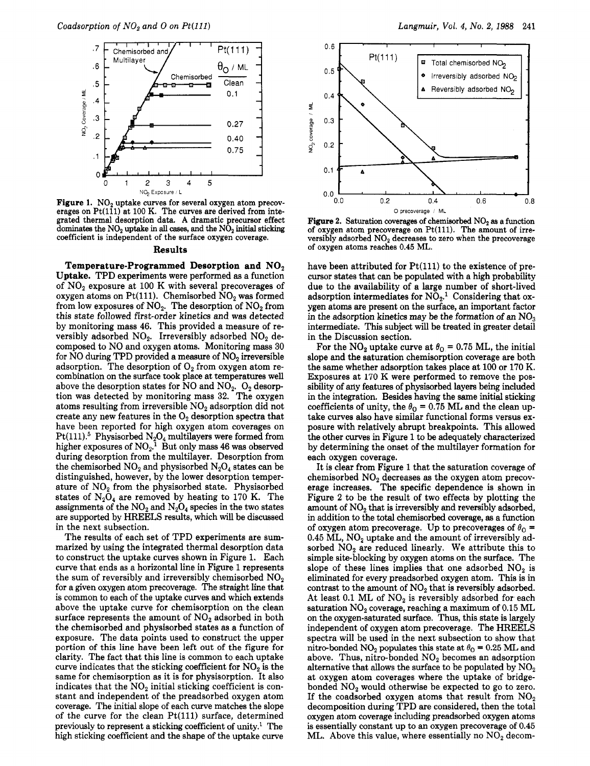

**Figure 1.**  $NO<sub>2</sub>$  uptake curves for several oxygen atom precoverages on  $Pt(1\bar{1}1)$  at 100 K. The curves are derived from integrated thermal desorption data. A dramatic precursor effect dominates the  $NO<sub>2</sub>$  uptake in all cases, and the  $N\hat{O}_2$  initial sticking coefficient is independent of the surface oxygen coverage.

### Results

Temperature-Programmed Desorption and  $NO<sub>2</sub>$ Uptake. TPD experiments were performed as <sup>a</sup> function of  $NO<sub>2</sub>$  exposure at 100 K with several precoverages of oxygen atoms on Pt(111). Chemisorbed  $NO<sub>2</sub>$  was formed from low exposures of  $NO<sub>2</sub>$ . The desorption of  $NO<sub>2</sub>$  from this state followed first-order kinetics and was detected by monitoring mass 46. This provided <sup>a</sup> measure of reversibly adsorbed  $NO<sub>2</sub>$ . Irreversibly adsorbed  $NO<sub>2</sub>$  decomposed to NO and oxygen atoms. Monitoring mass 30 for  $\rm NO$  during TPD provided a measure of  $\rm NO_2$  irreversible adsorption. The desorption of  $O<sub>2</sub>$  from oxygen atom recombination on the surface took place at temperatures well above the desorption states for  $\overline{NO}$  and  $\overline{NO}_2$ .  $O_2$  desorption was detected by monitoring mass 32. The oxygen atoms resulting from irreversible  $NO<sub>2</sub>$  adsorption did not create any new features in the  $O<sub>2</sub>$  desorption spectra that have been reported for high oxygen atom coverages on  $\rm Pt(111).^5$  Physisorbed  $\rm N_2O_4$  multilayers were formed from higher exposures of  $\text{NO}_2$ .<sup>1</sup> But only mass 46 was observed during desorption from the multilayer. Desorption from the chemisorbed  $NO<sub>2</sub>$  and physisorbed  $N<sub>2</sub>O<sub>4</sub>$  states can be distinguished, however, by the lower desorption temperature of  $NO<sub>2</sub>$  from the physisorbed state. Physisorbed states of  $N_2O_4$  are removed by heating to 170 K. The assignments of the  $NO<sub>2</sub>$  and  $N<sub>2</sub>O<sub>4</sub>$  species in the two states are supported by HREELS results, which will be discussed in the next subsection.

The results of each set of TPD experiments are summarized by using the integrated thermal desorption data to construct the uptake curves shown in Figure 1. Each curve that ends as <sup>a</sup> horizontal line in Figure <sup>1</sup> represents the sum of reversibly and irreversibly chemisorbed  $NO<sub>2</sub>$ for <sup>a</sup> given oxygen atom precoverage. The straight line that is common to each of the uptake curves and which extends above the uptake curve for chemisorption on the clean surface represents the amount of  $NO<sub>2</sub>$  adsorbed in both the chemisorbed and physisorbed states as <sup>a</sup> function of exposure. The data points used to construct the upper portion of this line have been left out of the figure for clarity. The fact that this line is common to each uptake curve indicates that the sticking coefficient for  $NO<sub>2</sub>$  is the same for chemisorption as it is for physisorption. It also indicates that the  $NO<sub>2</sub>$  initial sticking coefficient is constant and independent of the preadsorbed oxygen atom coverage. The initial slope of each curve matches the slope of the curve for the clean  $Pt(111)$  surface, determined previously to represent a sticking coefficient of unity.<sup>1</sup> The high sticking coefficient and the shape of the uptake curve



Figure 2. Saturation coverages of chemisorbed  $NO<sub>2</sub>$  as a function of oxygen atom precoverage on Pt(lll). The amount of irreversibly adsorbed  $NO<sub>2</sub>$  decreases to zero when the precoverage of oxygen atoms reaches 0.45 ML.

have been attributed for Pt(111) to the existence of precursor states that can be populated with <sup>a</sup> high probability due to the availability of <sup>a</sup> large number of short-lived adsorption intermediates for  $NO<sub>2</sub>$ .<sup>1</sup> Considering that oxygen atoms are present on the surface, an important factor in the adsorption kinetics may be the formation of an  $NO<sub>3</sub>$ intermediate. This subject will be treated in greater detail in the Discussion section.

For the  $\text{NO}_2$  uptake curve at  $\theta_0 = 0.75 \text{ ML}$ , the initial slope and the saturation chemisorption coverage are both the same whether adsorption takes place at 100 or <sup>170</sup> K. Exposures at 170 K were performed to remove the possibility of any features of physisorbed layers being included in the integration. Besides having the same initial sticking coefficients of unity, the  $\theta_{0} = 0.75$  ML and the clean uptake curves also have similar functional forms versus exposure with relatively abrupt breakpoints. This allowed the other curves in Figure <sup>1</sup> to be adequately characterized by determining the onset of the multilayer formation for each oxygen coverage.

It is clear from Figure <sup>1</sup> that the saturation coverage of chemisorbed  $NO<sub>2</sub>$  decreases as the oxygen atom precoverage increases. The specific dependence is shown in Figure <sup>2</sup> to be the result of two effects by plotting the amount of  $NO<sub>2</sub>$  that is irreversibly and reversibly adsorbed, in addition to the total chemisorbed coverage, as <sup>a</sup> function of oxygen atom precoverage. Up to precoverages of  $\theta_0$  = 0.45  $\tilde{ML}$ , NO<sub>2</sub> uptake and the amount of irreversibly adsorbed  $NO<sub>2</sub>$  are reduced linearly. We attribute this to simple site-blocking by oxygen atoms on the surface. The slope of these lines implies that one adsorbed  $NO<sub>2</sub>$  is eliminated for every preadsorbed oxygen atom. This is in contrast to the amount of  $NO<sub>2</sub>$  that is reversibly adsorbed. At least 0.1 ML of  $NO<sub>2</sub>$  is reversibly adsorbed for each saturation  $NO<sub>2</sub>$  coverage, reaching a maximum of 0.15 ML on the oxygen-saturated surface. Thus, this state is largely independent of oxygen atom precoverage. The HREELS spectra will be used in the next subsection to show that nitro-bonded NO<sub>2</sub> populates this state at  $\theta_0 = 0.25$  ML and above. Thus, nitro-bonded NO<sub>2</sub> becomes an adsorption alternative that allows the surface to be populated by  $NO<sub>2</sub>$ at oxygen atom coverages where the uptake of bridgebonded  $NO<sub>2</sub>$  would otherwise be expected to go to zero. If the coadsorbed oxygen atoms that result from  $NO<sub>2</sub>$ decomposition during TPD are considered, then the total oxygen atom coverage including preadsorbed oxygen atoms is essentially constant up to an oxygen precoverage of 0.45 ML. Above this value, where essentially no  $NO<sub>2</sub>$  decom-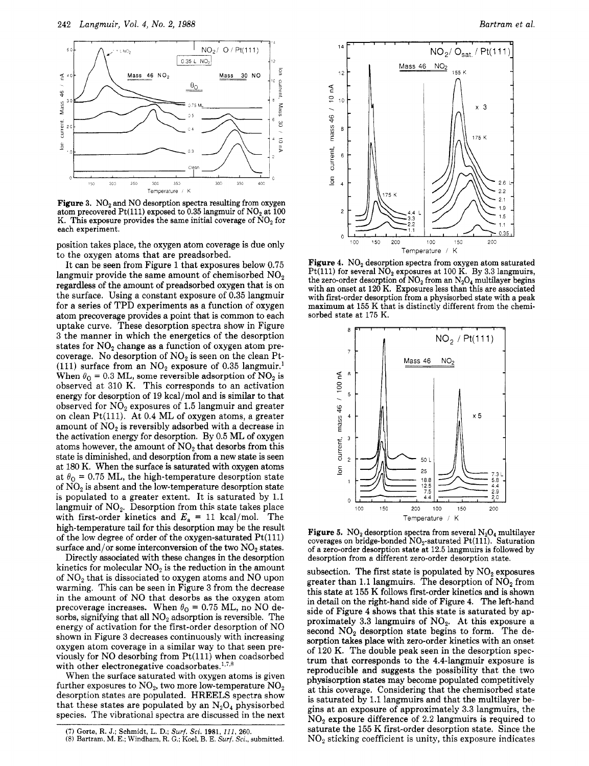

Figure 3.  $NO<sub>2</sub>$  and NO desorption spectra resulting from oxygen atom precovered Pt(111) exposed to 0.35 langmuir of  $NO<sub>2</sub>$  at 100 K. This exposure provides the same initial coverage of  $\text{NO}_2$  for each experiment.

position takes place, the oxygen atom coverage is due only to the oxygen atoms that are preadsorbed.

It can be seen from Figure <sup>1</sup> that exposures below 0.75 langmuir provide the same amount of chemisorbed  $NO<sub>2</sub>$ regardless of the amount of preadsorbed oxygen that is on the surface. Using <sup>a</sup> constant exposure of 0.35 langmuir for <sup>a</sup> series of TPD experiments as <sup>a</sup> function of oxygen atom precoverage provides <sup>a</sup> point that is common to each uptake curve. These desorption spectra show in Figure <sup>3</sup> the manner in which the energetics of the desorption states for  $NO<sub>2</sub>$  change as a function of oxygen atom precoverage. No desorption of  $NO<sub>2</sub>$  is seen on the clean Pt-(111) surface from an  $NO<sub>2</sub>$  exposure of 0.35 langmuir.<sup>1</sup> When  $\theta_0 = 0.3$  ML, some reversible adsorption of NO<sub>2</sub> is observed at 310 K. This corresponds to an activation energy for desorption of <sup>19</sup> kcal/mol and is similar to that observed for  $NO<sub>2</sub>$  exposures of 1.5 langmuir and greater on clean Pt $(111)$ . At 0.4 ML of oxygen atoms, a greater amount of  $NO<sub>2</sub>$  is reversibly adsorbed with a decrease in the activation energy for desorption. By 0.5 ML of oxygen atoms however, the amount of  $NO<sub>2</sub>$  that desorbs from this state is diminished, and desorption from <sup>a</sup> new state is seen at <sup>180</sup> K. When the surface is saturated with oxygen atoms at  $\theta_{0}$  = 0.75 ML, the high-temperature desorption state of  $NO<sub>2</sub>$  is absent and the low-temperature desorption state is populated to <sup>a</sup> greater extent. It is saturated by 1.1 langmuir of  $NO<sub>2</sub>$ . Desorption from this state takes place with first-order kinetics and  $E_a = 11$  kcal/mol. The high-temperature tail for this desorption may be the result of the low degree of order of the oxygen-saturated Pt(lll) surface and/or some interconversion of the two  $NO<sub>2</sub>$  states.

Directly associated with these changes in the desorption kinetics for molecular  $NO<sub>2</sub>$  is the reduction in the amount of  $NO<sub>2</sub>$  that is dissociated to oxygen atoms and  $NO$  upon warming. This can be seen in Figure <sup>3</sup> from the decrease in the amount of NO that desorbs as the oxygen atom precoverage increases. When  $\theta_0 = 0.75$  ML, no NO desorbs, signifying that all  $NO<sub>2</sub>$  adsorption is reversible. The energy of activation for the first-order desorption of NO shown in Figure <sup>3</sup> decreases continuously with increasing oxygen atom coverage in <sup>a</sup> similar way to that seen previously for NO desorbing from  $Pt(111)$  when coadsorbed with other electronegative coadsorbates. $1,7,8$ 

When the surface saturated with oxygen atoms is given further exposures to  $\rm NO_2$ , two more low-temperature  $\rm NO_2$ desorption states are populated. HREELS spectra show that these states are populated by an  $N_2O_4$  physisorbed species. The vibrational spectra are discussed in the next



**Figure 4.** NO<sub>2</sub> desorption spectra from oxygen atom saturated Pt(111) for several  $NO<sub>2</sub>$  exposures at 100 K. By 3.3 langmuirs, the zero-order desorption of  $NO<sub>2</sub>$  from an  $N<sub>2</sub>O<sub>4</sub>$  multilayer begins with an onset at <sup>120</sup> K. Exposures less than this are associated with first-order desorption from <sup>a</sup> physisorbed state with <sup>a</sup> peak maximum at <sup>155</sup> K that is distinctly different from the chemisorbed state at 175 K.



**Figure 5.** NO<sub>2</sub> desorption spectra from several  $N_2O_4$  multilayer coverages on bridge-bonded  $NO<sub>2</sub>$ -saturated Pt(111). Saturation of <sup>a</sup> zero-order desorption state at 12.5 langmuirs is followed by desorption from <sup>a</sup> different zero-order desorption state.

subsection. The first state is populated by  $NO<sub>2</sub>$  exposures greater than 1.1 langmuirs. The desorption of  $N\tilde{O}_2$  from this state at 155 K follows first-order kinetics and is shown in detail on the right-hand side of Figure 4. The left-hand side of Figure <sup>4</sup> shows that this state is saturated by approximately 3.3 langmuirs of  $NO<sub>2</sub>$ . At this exposure a second  $NO<sub>2</sub>$  desorption state begins to form. The desorption takes place with zero-order kinetics with an onset of <sup>120</sup> K. The double peak seen in the desorption spectrum that corresponds to the 4.4-langmuir exposure is reproducible and suggests the possibility that the two physisorption states may become populated competitively at this coverage. Considering that the chemisorbed state is saturated by 1.1 langmuirs and that the multilayer begins at an exposure of approximately 3.3 langmuirs, the  $NO<sub>2</sub>$  exposure difference of 2.2 langmuirs is required to saturate the <sup>155</sup> K first-order desorption state. Since the N02 sticking coefficient is unity, this exposure indicates

<sup>(7)</sup> Gorte, R. J.; Schmidt, L. D.; Surf. Sci. 1981, 111, 260. (8) Bartram, M. E.; Windham, R. G.; Koel, B. E.  $Surf.$  Sci., submitted.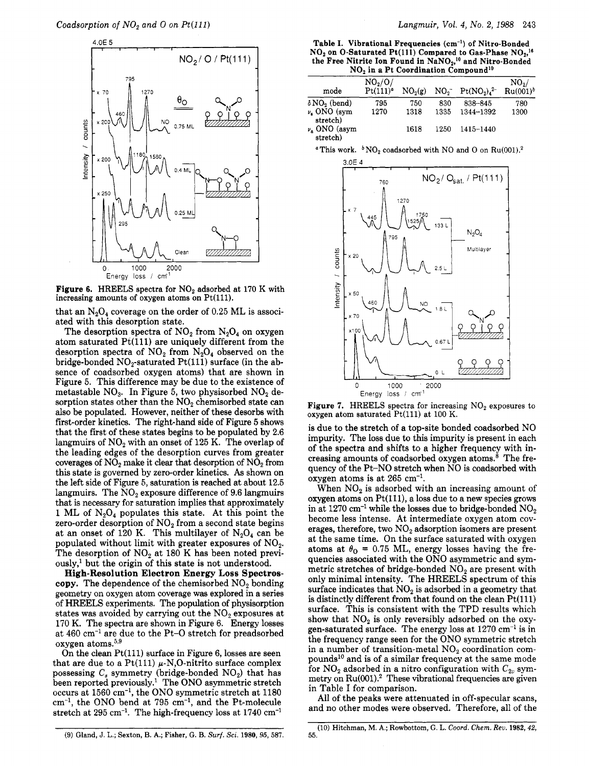

**Figure 6.** HREELS spectra for  $NO<sub>2</sub>$  adsorbed at 170 K with increasing amounts of oxygen atoms on  $Pt(111)$ .

that an  $N_2O_4$  coverage on the order of 0.25 ML is associated with this desorption state.

The desorption spectra of  $NO<sub>2</sub>$  from  $N<sub>2</sub>O<sub>4</sub>$  on oxygen atom saturated  $Pt(111)$  are uniquely different from the desorption spectra of  $NO<sub>2</sub>$  from  $N<sub>2</sub>O<sub>4</sub>$  observed on the bridge-bonded  $NO<sub>2</sub>$ -saturated  $Pt(111)$  surface (in the absence of coadsorbed oxygen atoms) that are shown in Figure 5. This difference may be due to the existence of metastable  $NO<sub>3</sub>$ . In Figure 5, two physisorbed  $NO<sub>2</sub>$  desorption states other than the  $NO<sub>2</sub>$  chemisorbed state can also be populated. However, neither of these desorbs with first-order kinetics. The right-hand side of Figure <sup>5</sup> shows that the first of these states begins to be populated by 2.6 langmuirs of  $NO<sub>2</sub>$  with an onset of 125 K. The overlap of the leading edges of the desorption curves from greater coverages of  $NO<sub>2</sub>$  make it clear that desorption of  $NO<sub>2</sub>$  from this state is governed by zero-order kinetics. As shown on the left side of Figure 5, saturation is reached at about 12.5 langmuirs. The  $NO<sub>2</sub>$  exposure difference of 9.6 langmuirs that is necessary for saturation implies that approximately 1 ML of  $N_2O_4$  populates this state. At this point the zero-order desorption of  $NO<sub>2</sub>$  from a second state begins at an onset of 120 K. This multilayer of  $N_2O_4$  can be populated without limit with greater exposures of  $NO<sub>2</sub>$ . The desorption of  $NO<sub>2</sub>$  at 180 K has been noted previ- $\text{ously,}$ <sup>1</sup> but the origin of this state is not understood.

High-Resolution Electron Energy Loss Spectroscopy. The dependence of the chemisorbed  $NO<sub>2</sub>$  bonding geometry on oxygen atom coverage was explored in <sup>a</sup> series of HREELS experiments. The population of physisorption states was avoided by carrying out the  $NO<sub>2</sub>$  exposures at <sup>170</sup> K. The spectra are shown in Figure 6. Energy losses at 460 cm-1 are due to the Pt-0 stretch for preadsorbed oxygen atoms. $5,9$ 

On the clean  $Pt(111)$  surface in Figure 6, losses are seen that are due to a Pt(111)  $\mu$ -N,O-nitrito surface complex possessing  $C_s$  symmetry (bridge-bonded  $NO_2$ ) that has been reported previously.<sup>1</sup> The ONO asymmetric stretch occurs at 1560 cm"1, the ONO symmetric stretch at 1180  $cm^{-1}$ , the ONO bend at 795  $cm^{-1}$ , and the Pt-molecule stretch at  $295 \text{ cm}^{-1}$ . The high-frequency loss at  $1740 \text{ cm}^{-1}$ 

Table I. Vibrational Frequencies (cm<sup>-1</sup>) of Nitro-Bonded  $NO<sub>2</sub>$  on O-Saturated Pt(111) Compared to Gas-Phase  $NO<sub>2</sub>$ <sup>16</sup> the Free Nitrite Ion Found in  $\text{NaNO}_2$ ,<sup>10</sup> and Nitro-Bonded

| $NO2$ in a Pt Coordination Compound <sup>10</sup> |                                   |                     |                 |                   |                                  |
|---------------------------------------------------|-----------------------------------|---------------------|-----------------|-------------------|----------------------------------|
| mode                                              | $NO_2/O/$<br>Pt(111) <sup>a</sup> | NO <sub>2</sub> (g) | NO <sub>2</sub> | $Pt(NO_2)_4^{2-}$ | NO <sub>2</sub> /<br>$Ru(001)^b$ |
| $\delta\, \text{NO}_2\ \text{(bend)}$             | 795                               | 750                 | 830             | 838-845           | 780                              |
| $\nu_{\rm s}$ ONO (sym<br>stretch)                | 1270                              | 1318                | 1335            | 1344-1392         | 1300                             |
| $\nu_a$ ONO (asym<br>stretch)                     |                                   | 1618                | 1250            | 1415-1440         |                                  |

<sup>a</sup> This work.  $bNO_2$  coadsorbed with NO and O on Ru(001).<sup>2</sup>



**Figure 7.** HREELS spectra for increasing  $NO<sub>2</sub>$  exposures to oxygen atom saturated Pt(111) at 100 K.

is due to the stretch of <sup>a</sup> top-site bonded coadsorbed NO impurity. The loss due to this impurity is present in each of the spectra and shifts to <sup>a</sup> higher frequency with increasing amounts of coadsorbed oxygen atoms.<sup>8</sup> The frequency of the Pt-NO stretch when NO is coadsorbed with oxygen atoms is at  $265 \text{ cm}^{-1}$ .

When  $NO<sub>2</sub>$  is adsorbed with an increasing amount of oxygen atoms on Pt(lll), <sup>a</sup> loss due to <sup>a</sup> new species grows in at 1270 cm<sup>-1</sup> while the losses due to bridge-bonded  $NO<sub>2</sub>$ become less intense. At intermediate oxygen atom coverages, therefore, two  $NO<sub>2</sub>$  adsorption isomers are present at the same time. On the surface saturated with oxygen atoms at  $\theta_0 = 0.75$  ML, energy losses having the frequencies associated with the ONO asymmetric and symmetric stretches of bridge-bonded  $NO<sub>2</sub>$  are present with only minimal intensity. The HREELS spectrum of this surface indicates that  $NO<sub>2</sub>$  is adsorbed in a geometry that is distinctly different from that found on the clean  $Pt(111)$ surface. This is consistent with the TPD results which show that  $NO<sub>2</sub>$  is only reversibly adsorbed on the oxygen-saturated surface. The energy loss at  $1270 \text{ cm}^{-1}$  is in the frequency range seen for the ONO symmetric stretch in a number of transition-metal  $NO<sub>2</sub>$  coordination compounds10 and is of <sup>a</sup> similar frequency at the same mode for  $\text{NO}_2$  adsorbed in a nitro configuration with  $C_{2v}$  sym- $\text{metry on } \text{Ru}(001).^{2}$  These vibrational frequencies are given in Table I for comparison.

All of the peaks were attenuated in off-specular scans, and no other modes were observed. Therefore, all of the

(10) Hitchman, M. A.; Rowbottom, G. L. Coord. Chem. Rev. 1982, 42, 55.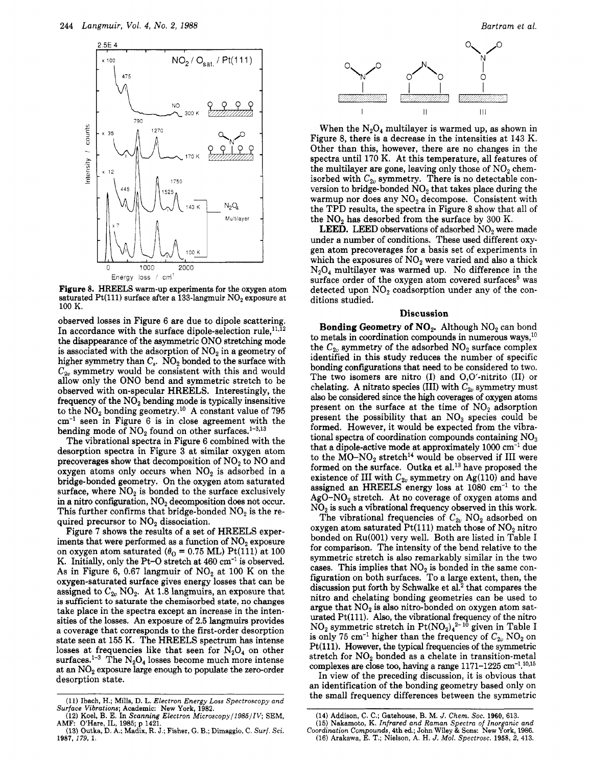

Figure 8. HREELS warm-up experiments for the oxygen atom saturated Pt(111) surface after a 133-langmuir  $NO<sub>2</sub>$  exposure at 100 K.

observed losses in Figure <sup>6</sup> are due to dipole scattering. In accordance with the surface dipole-selection rule,  $11,\overline{1}2$ the disappearance of the asymmetric ONO stretching mode is associated with the adsorption of  $NO<sub>2</sub>$  in a geometry of higher symmetry than  $C_s$ .  $NO_2$  bonded to the surface with  $C_{2\nu}$  symmetry would be consistent with this and would allow only the ONO bend and symmetric stretch to be observed with on-specular HREELS. Interestingly, the frequency of the  $NO<sub>2</sub>$  bending mode is typically insensitive to the  $N\ddot{\Omega}_2$  bonding geometry.<sup>10</sup> A constant value of 795  $cm^{-1}$  seen in Figure 6 is in close agreement with the bending mode of  $NO<sub>2</sub>$  found on other surfaces.<sup>1-3,13</sup>

The vibrational spectra in Figure <sup>6</sup> combined with the desorption spectra in Figure <sup>3</sup> at similar oxygen atom precoverages show that decomposition of  $NO<sub>2</sub>$  to NO and oxygen atoms only occurs when  $NO<sub>2</sub>$  is adsorbed in a bridge-bonded geometry. On the oxygen atom saturated surface, where  $NO<sub>2</sub>$  is bonded to the surface exclusively in a nitro configuration,  $NO<sub>2</sub>$  decomposition does not occur. This further confirms that bridge-bonded  $NO<sub>2</sub>$  is the required precursor to NO<sub>2</sub> dissociation.

Figure <sup>7</sup> shows the results of <sup>a</sup> set of HREELS experiments that were performed as a function of  $NO<sub>2</sub>$  exposure on oxygen atom saturated  $(\theta_0 = 0.75 \text{ ML}) \text{ Pt}(111)$  at 100 K. Initially, only the Pt-O stretch at  $460 \text{ cm}^{-1}$  is observed. As in Figure 6, 0.67 langmuir of  $NO<sub>2</sub>$  at 100 K on the oxygen-saturated surface gives energy losses that can be assigned to  $C_{2v}$  NO<sub>2</sub>. At 1.8 langmuirs, an exposure that is sufficient to saturate the chemisorbed state, no changes take place in the spectra except an increase in the intensities of the losses. An exposure of 2.5 langmuirs provides <sup>a</sup> coverage that corresponds to the first-order desorption state seen at 155 K. The HREELS spectrum has intense losses at frequencies like that seen for  $N_2O_4$  on other surfaces.<sup>1-3</sup> The  $N_2O_4$  losses become much more intense at an N02 exposure large enough to populate the zero-order desorption state.



When the  $N_2O_4$  multilayer is warmed up, as shown in Figure 8, there is <sup>a</sup> decrease in the intensities at <sup>143</sup> K. Other than this, however, there are no changes in the spectra until <sup>170</sup> K. At this temperature, all features of the multilayer are gone, leaving only those of  $NO<sub>2</sub>$  chemisorbed with  $C_{2v}$  symmetry. There is no detectable conversion to bridge-bonded  $\mathrm{NO}_2$  that takes place during the warmup nor does any  $NO<sub>2</sub>$  decompose. Consistent with the TPD results, the spectra in Figure <sup>8</sup> show that all of the  $NO<sub>2</sub>$  has desorbed from the surface by 300 K.

**LEED.** LEED observations of adsorbed  $NO<sub>2</sub>$  were made under <sup>a</sup> number of conditions. These used different oxygen atom precoverages for <sup>a</sup> basis set of experiments in which the exposures of  $NO<sub>2</sub>$  were varied and also a thick  $N_2O_4$  multilayer was warmed up. No difference in the surface order of the oxygen atom covered surfaces<sup>5</sup> was detected upon  $NO<sub>2</sub>$  coadsorption under any of the conditions studied.

## Discussion

**Bonding Geometry of NO<sub>2</sub>.** Although  $NO_2$  can bond to metals in coordination compounds in numerous ways, $^{10}$ the  $C_{2v}$  symmetry of the adsorbed  $NO_2$  surface complex identified in this study reduces the number of specific bonding configurations that need to be considered to two. The two isomers are nitro  $(I)$  and  $O,O'$ -nitrito  $(II)$  or chelating. A nitrato species (III) with  $C_{2\nu}$  symmetry must also be considered since the high coverages of oxygen atoms present on the surface at the time of  $NO<sub>2</sub>$  adsorption present the possibility that an  $NO<sub>3</sub>$  species could be formed. However, it would be expected from the vibrational spectra of coordination compounds containing  $NO<sub>3</sub>$ that a dipole-active mode at approximately  $1000 \text{ cm}^{-1}$  due to the  $\text{MO-NO}_2$  stretch<sup>14</sup> would be observed if III were formed on the surface. Outka et al.<sup>13</sup> have proposed the existence of III with  $C_{2v}$  symmetry on Ag(110) and have assigned an HREELS energy loss at  $1080 \text{ cm}^{-1}$  to the  $AgO-NO<sub>2</sub>$  stretch. At no coverage of oxygen atoms and  $NO<sub>2</sub>$  is such a vibrational frequency observed in this work.

The vibrational frequencies of  $C_{2v}$  NO<sub>2</sub> adsorbed on oxygen atom saturated  $Pt(111)$  match those of  $NO<sub>2</sub>$  nitro bonded on Ru(001) very well. Both are listed in Table I for comparison. The intensity of the bend relative to the symmetric stretch is also remarkably similar in the two cases. This implies that  $NO<sub>2</sub>$  is bonded in the same configuration on both surfaces. To <sup>a</sup> large extent, then, the discussion put forth by Schwalke et al.<sup>2</sup> that compares the nitro and chelating bonding geometries can be used to argue that  $NO<sub>2</sub>$  is also nitro-bonded on oxygen atom saturated Pt(111). Also, the vibrational frequency of the nitro  $NO<sub>2</sub>$  symmetric stretch in  $Pt(NO<sub>2</sub>)<sub>4</sub><sup>2-10</sup>$  given in Table I is only 75 cm<sup>-1</sup> higher than the frequency of  $C_{2u}$  NO<sub>2</sub> on Pt(111). However, the typical frequencies of the symmetric stretch for  $NO<sub>2</sub>$  bonded as a chelate in transition-metal complexes are close too, having a range  $1171-1225$  cm<sup>-1</sup>.<sup>10,15</sup>

In view of the preceding discussion, it is obvious that an identification of the bonding geometry based only on the small frequency differences between the symmetric

<sup>(11)</sup> Ibach, H.; Mills, D. L. Electron Energy Loss Spectroscopy and Surface Vibrations; Academic: New York, 1982.

<sup>(12)</sup> Koel, B. E. In Scanning Electron Microscopy/1985/IV; SEM, AMF: O'Hare, IL, 1985; p 1421.

<sup>(13)</sup> Outka, D. A.; Madix, R. J.; Fisher, G. B.; Dimaggio, C. Surf. Sci. 1987, 179, 1.

<sup>(14)</sup> Addison, C. C.; Gatehouse, B. M. J. Chem. Soc. 1960, 613.

<sup>(15)</sup> Nakamoto, K. Infrared and Raman Spectra of Inorganic and Coordination Compounds, 4th ed.; John Wiley & Sons: New York, 1986.

<sup>(16)</sup> Arakawa, E. T.; Nielson, A. H. J. Mol. Spectrosc. 1958, 2, 413.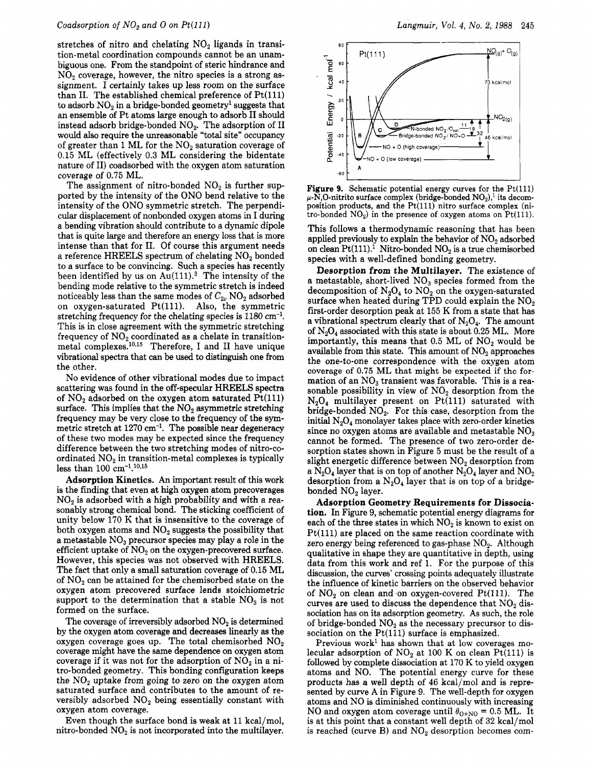stretches of nitro and chelating  $NO<sub>2</sub>$  ligands in transition-metal coordination compounds cannot be an unambiguous one. From the standpoint of steric hindrance and  $NO<sub>2</sub>$  coverage, however, the nitro species is a strong assignment. I certainly takes up less room on the surface than II. The established chemical preference of Pt(111) to adsorb  $NO<sub>2</sub>$  in a bridge-bonded geometry<sup>1</sup> suggests that an ensemble of Pt atoms large enough to adsorb II should instead adsorb bridge-bonded  $NO<sub>2</sub>$ . The adsorption of II would also require the unreasonable "total site" occupancy of greater than 1 ML for the  $NO<sub>2</sub>$  saturation coverage of 0.15 ML (effectively 0.3 ML considering the bidentate nature of II) coadsorbed with the oxygen atom saturation coverage of 0.75 ML.

The assignment of nitro-bonded  $NO<sub>2</sub>$  is further supported by the intensity of the ONO bend relative to the intensity of the ONO symmetric stretch. The perpendicular displacement of nonbonded oxygen atoms in I during <sup>a</sup> bending vibration should contribute to <sup>a</sup> dynamic dipole that is quite large and therefore an energy loss that is more intense than that for II. Of course this argument needs a reference HREELS spectrum of chelating  $NO<sub>2</sub>$  bonded to <sup>a</sup> surface to be convincing. Such <sup>a</sup> species has recently been identified by us on  $Au(111).$ <sup>3</sup> The intensity of the bending mode relative to the symmetric stretch is indeed noticeably less than the same modes of  $C_{2\nu}$  NO<sub>2</sub> adsorbed on oxygen-saturated Pt(lll). Also, the symmetric stretching frequency for the chelating species is 1180 cm'1. This is in close agreement with the symmetric stretching frequency of  $NO<sub>2</sub>$  coordinated as a chelate in transitionmetal complexes.10,16 Therefore, I and II have unique vibrational spectra that can be used to distinguish one from the other.

No evidence of other vibrational modes due to impact scattering was found in the off-specular HREELS spectra of  $NO<sub>2</sub>$  adsorbed on the oxygen atom saturated  $Pt(111)$ surface. This implies that the  $NO<sub>2</sub>$  asymmetric stretching frequency may be very close to the frequency of the symmetric stretch at 1270 cm'1. The possible near degeneracy of these two modes may be expected since the frequency difference between the two stretching modes of nitro-coordinated  $NO<sub>2</sub>$  in transition-metal complexes is typically less than 100  $\rm cm^{-1}.10,15$ 

Adsorption Kinetics. An important result of this work is the finding that even at high oxygen atom precoverages  $NO<sub>2</sub>$  is adsorbed with a high probability and with a reasonably strong chemical bond. The sticking coefficient of unity below <sup>170</sup> K that is insensitive to the coverage of both oxygen atoms and  $NO<sub>2</sub>$  suggests the possibility that a metastable  $NO<sub>3</sub>$  precursor species may play a role in the efficient uptake of  $NO<sub>2</sub>$  on the oxygen-precovered surface. However, this species was not observed with HREELS. The fact that only <sup>a</sup> small saturation coverage of 0.15 ML of  $NO<sub>2</sub>$  can be attained for the chemisorbed state on the oxygen atom precovered surface lends stoichiometric support to the determination that a stable  $NO<sub>3</sub>$  is not formed on the surface.

The coverage of irreversibly adsorbed  $NO<sub>2</sub>$  is determined by the oxygen atom coverage and decreases linearly as the oxygen coverage goes up. The total chemisorbed  $NO<sub>2</sub>$ coverage might have the same dependence on oxygen atom coverage if it was not for the adsorption of  $NO<sub>2</sub>$  in a nitro-bonded geometry. This bonding configuration keeps the  $NO<sub>2</sub>$  uptake from going to zero on the oxygen atom saturated surface and contributes to the amount of reversibly adsorbed  $NO<sub>2</sub>$  being essentially constant with oxygen atom coverage.

Even though the surface bond is weak at <sup>11</sup> kcal/mol, nitro-bonded  $NO<sub>2</sub>$  is not incorporated into the multilayer.



**Figure 9.** Schematic potential energy curves for the  $Pt(111)$  $\mu$ -N,O-nitrito surface complex (bridge-bonded NO<sub>2</sub>),<sup>1</sup> its decomposition products, and the  $Pt(111)$  nitro surface complex (nitro-bonded  $NO<sub>2</sub>$ ) in the presence of oxygen atoms on  $Pt(111)$ .

This follows <sup>a</sup> thermodynamic reasoning that has been applied previously to explain the behavior of  $NO<sub>2</sub>$  adsorbed on clean Pt(111).<sup>1</sup> Nitro-bonded NO<sub>2</sub> is a true chemisorbed species with <sup>a</sup> well-defined bonding geometry.

Desorption from the Multilayer. The existence of a metastable, short-lived  $NO<sub>3</sub>$  species formed from the decomposition of  $N_2O_4$  to  $NO_2$  on the oxygen-saturated surface when heated during TPD could explain the  $NO<sub>2</sub>$ first-order desorption peak at <sup>155</sup> K from <sup>a</sup> state that has a vibrational spectrum clearly that of  $N_2O_4$ . The amount of  $N_2O_4$  associated with this state is about 0.25 ML. More importantly, this means that  $0.5$  ML of  $NO<sub>2</sub>$  would be available from this state. This amount of  $NO<sub>2</sub>$  approaches the one-to-one correspondence with the oxygen atom coverage of 0.75 ML that might be expected if the formation of an  $NO<sub>3</sub>$  transient was favorable. This is a reasonable possibility in view of  $NO<sub>2</sub>$  desorption from the  $N_2O_4$  multilayer present on Pt(111) saturated with bridge-bonded  $NO<sub>2</sub>$ . For this case, desorption from the initial  $N_2O_4$  monolayer takes place with zero-order kinetics since no oxygen atoms are available and metastable  $NO_3$ cannot be formed. The presence of two zero-order desorption states shown in Figure <sup>5</sup> must be the result of <sup>a</sup> slight energetic difference between  $NO<sub>2</sub>$  desorption from a  $N_2O_4$  layer that is on top of another  $N_2O_4$  layer and  $NO_2$ desorption from a  $N_2O_4$  layer that is on top of a bridgebonded NO<sub>2</sub> layer.

Adsorption Geometry Requirements for Dissociation. In Figure 9, schematic potential energy diagrams for each of the three states in which  $NO<sub>2</sub>$  is known to exist on Pt(lll) are placed on the same reaction coordinate with zero energy being referenced to gas-phase  $NO<sub>2</sub>$ . Although qualitative in shape they are quantitative in depth, using data from this work and ref 1. For the purpose of this discussion, the curves' crossing points adequately illustrate the influence of kinetic barriers on the observed behavior of  $NO<sub>2</sub>$  on clean and on oxygen-covered Pt(111). The curves are used to discuss the dependence that  $NO<sub>2</sub>$  dissociation has on its adsorption geometry. As such, the role of bridge-bonded  $NO<sub>2</sub>$  as the necessary precursor to dissociation on the  $Pt(111)$  surface is emphasized.

Previous work<sup>1</sup> has shown that at low coverages molecular adsorption of  $NO<sub>2</sub>$  at 100 K on clean Pt(111) is followed by complete dissociation at <sup>170</sup> K to yield oxygen atoms and NO. The potential energy curve for these products has <sup>a</sup> well depth of <sup>46</sup> kcal/mol and is represented by curve A in Figure 9. The well-depth for oxygen atoms and NO is diminished continuously with increasing NO and oxygen atom coverage until  $\theta_{\text{O+NO}} = 0.5$  ML. It is at this point that <sup>a</sup> constant well depth of <sup>32</sup> kcal/mol is reached (curve B) and  $NO<sub>2</sub>$  desorption becomes com